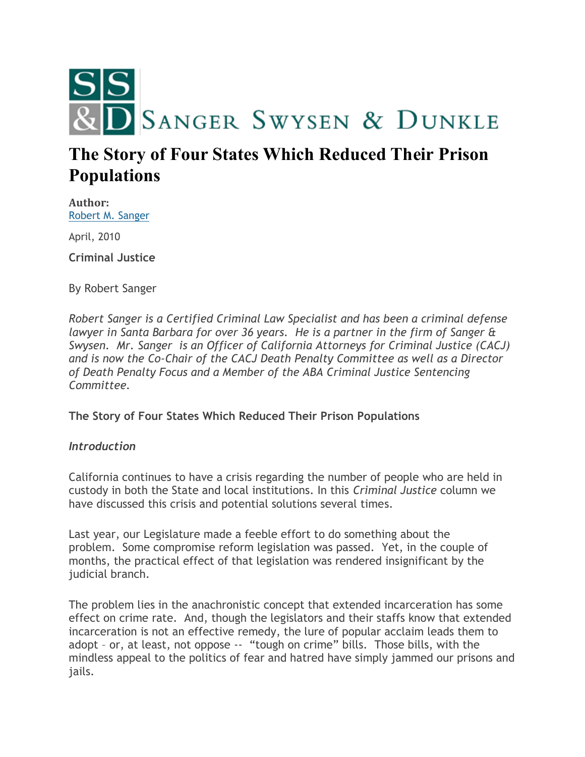

# **The Story of Four States Which Reduced Their Prison Populations**

**Author:** [Robert M. Sanger](http://sangerswysen.com/robert-m-sanger)

April, 2010

**Criminal Justice**

By Robert Sanger

*Robert Sanger is a Certified Criminal Law Specialist and has been a criminal defense lawyer in Santa Barbara for over 36 years. He is a partner in the firm of Sanger & Swysen. Mr. Sanger is an Officer of California Attorneys for Criminal Justice (CACJ) and is now the Co-Chair of the CACJ Death Penalty Committee as well as a Director of Death Penalty Focus and a Member of the ABA Criminal Justice Sentencing Committee.*

**The Story of Four States Which Reduced Their Prison Populations**

#### *Introduction*

California continues to have a crisis regarding the number of people who are held in custody in both the State and local institutions. In this *Criminal Justice* column we have discussed this crisis and potential solutions several times.

Last year, our Legislature made a feeble effort to do something about the problem. Some compromise reform legislation was passed. Yet, in the couple of months, the practical effect of that legislation was rendered insignificant by the judicial branch.

The problem lies in the anachronistic concept that extended incarceration has some effect on crime rate. And, though the legislators and their staffs know that extended incarceration is not an effective remedy, the lure of popular acclaim leads them to adopt – or, at least, not oppose -- "tough on crime" bills. Those bills, with the mindless appeal to the politics of fear and hatred have simply jammed our prisons and jails.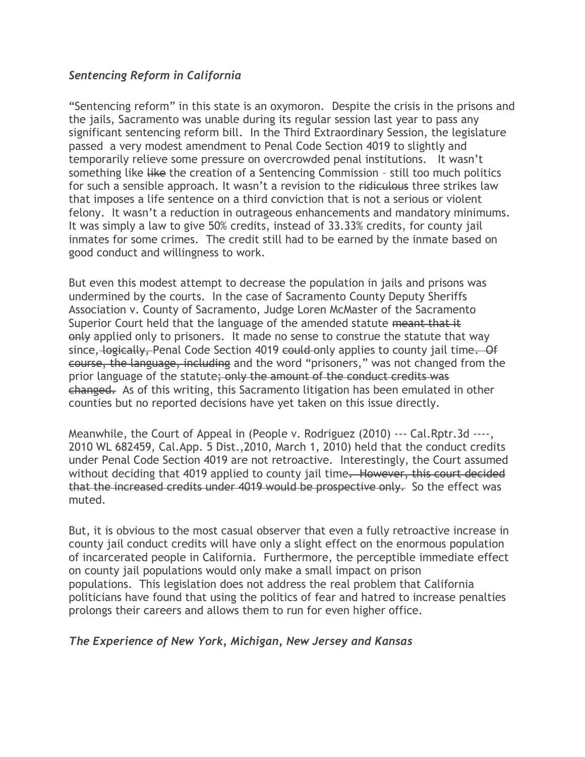## *Sentencing Reform in California*

"Sentencing reform" in this state is an oxymoron. Despite the crisis in the prisons and the jails, Sacramento was unable during its regular session last year to pass any significant sentencing reform bill. In the Third Extraordinary Session, the legislature passed a very modest amendment to Penal Code Section 4019 to slightly and temporarily relieve some pressure on overcrowded penal institutions. It wasn't something like like the creation of a Sentencing Commission - still too much politics for such a sensible approach. It wasn't a revision to the ridiculous three strikes law that imposes a life sentence on a third conviction that is not a serious or violent felony. It wasn't a reduction in outrageous enhancements and mandatory minimums. It was simply a law to give 50% credits, instead of 33.33% credits, for county jail inmates for some crimes. The credit still had to be earned by the inmate based on good conduct and willingness to work.

But even this modest attempt to decrease the population in jails and prisons was undermined by the courts. In the case of Sacramento County Deputy Sheriffs Association v. County of Sacramento, Judge Loren McMaster of the Sacramento Superior Court held that the language of the amended statute meant that it only applied only to prisoners. It made no sense to construe the statute that way since, logically, Penal Code Section 4019 could only applies to county jail time. Of course, the language, including and the word "prisoners," was not changed from the prior language of the statute; only the amount of the conduct credits was changed. As of this writing, this Sacramento litigation has been emulated in other counties but no reported decisions have yet taken on this issue directly.

Meanwhile, the Court of Appeal in (People v. Rodriguez (2010) --- Cal.Rptr.3d ----, 2010 WL 682459, Cal.App. 5 Dist.,2010, March 1, 2010) held that the conduct credits under Penal Code Section 4019 are not retroactive. Interestingly, the Court assumed without deciding that 4019 applied to county jail time. However, this court decided that the increased credits under 4019 would be prospective only. So the effect was muted.

But, it is obvious to the most casual observer that even a fully retroactive increase in county jail conduct credits will have only a slight effect on the enormous population of incarcerated people in California. Furthermore, the perceptible immediate effect on county jail populations would only make a small impact on prison populations. This legislation does not address the real problem that California politicians have found that using the politics of fear and hatred to increase penalties prolongs their careers and allows them to run for even higher office.

# *The Experience of New York, Michigan, New Jersey and Kansas*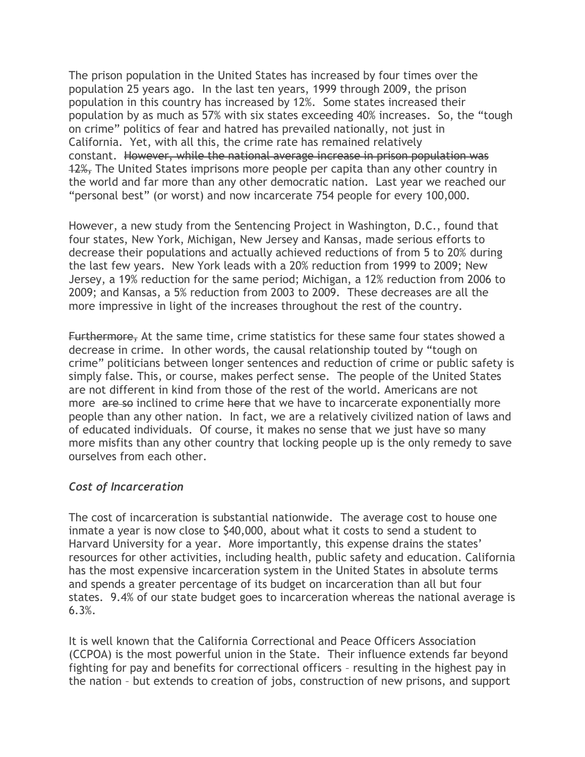The prison population in the United States has increased by four times over the population 25 years ago. In the last ten years, 1999 through 2009, the prison population in this country has increased by 12%. Some states increased their population by as much as 57% with six states exceeding 40% increases. So, the "tough on crime" politics of fear and hatred has prevailed nationally, not just in California. Yet, with all this, the crime rate has remained relatively constant. However, while the national average increase in prison population was 12%, The United States imprisons more people per capita than any other country in the world and far more than any other democratic nation. Last year we reached our "personal best" (or worst) and now incarcerate 754 people for every 100,000.

However, a new study from the Sentencing Project in Washington, D.C., found that four states, New York, Michigan, New Jersey and Kansas, made serious efforts to decrease their populations and actually achieved reductions of from 5 to 20% during the last few years. New York leads with a 20% reduction from 1999 to 2009; New Jersey, a 19% reduction for the same period; Michigan, a 12% reduction from 2006 to 2009; and Kansas, a 5% reduction from 2003 to 2009. These decreases are all the more impressive in light of the increases throughout the rest of the country.

Furthermore, At the same time, crime statistics for these same four states showed a decrease in crime. In other words, the causal relationship touted by "tough on crime" politicians between longer sentences and reduction of crime or public safety is simply false. This, or course, makes perfect sense. The people of the United States are not different in kind from those of the rest of the world. Americans are not more are so inclined to crime here that we have to incarcerate exponentially more people than any other nation. In fact, we are a relatively civilized nation of laws and of educated individuals. Of course, it makes no sense that we just have so many more misfits than any other country that locking people up is the only remedy to save ourselves from each other.

#### *Cost of Incarceration*

The cost of incarceration is substantial nationwide. The average cost to house one inmate a year is now close to \$40,000, about what it costs to send a student to Harvard University for a year. More importantly, this expense drains the states' resources for other activities, including health, public safety and education. California has the most expensive incarceration system in the United States in absolute terms and spends a greater percentage of its budget on incarceration than all but four states. 9.4% of our state budget goes to incarceration whereas the national average is 6.3%.

It is well known that the California Correctional and Peace Officers Association (CCPOA) is the most powerful union in the State. Their influence extends far beyond fighting for pay and benefits for correctional officers – resulting in the highest pay in the nation – but extends to creation of jobs, construction of new prisons, and support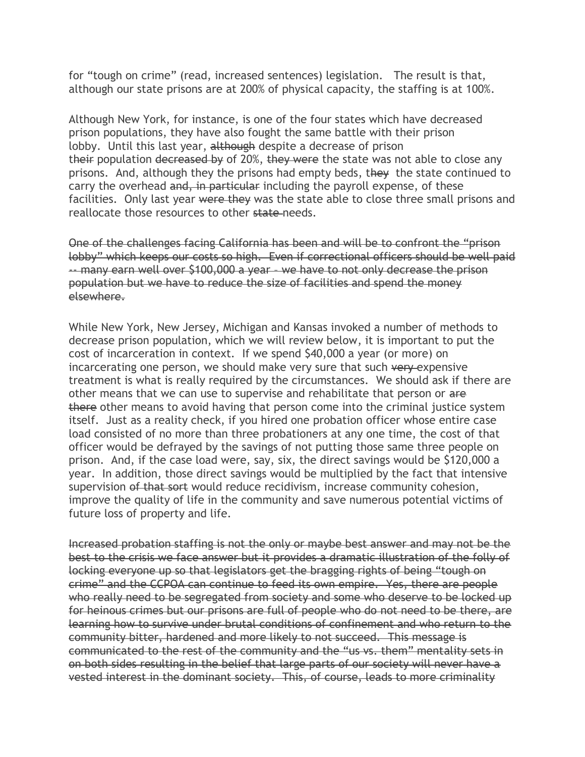for "tough on crime" (read, increased sentences) legislation. The result is that, although our state prisons are at 200% of physical capacity, the staffing is at 100%.

Although New York, for instance, is one of the four states which have decreased prison populations, they have also fought the same battle with their prison lobby. Until this last year, although despite a decrease of prison their population decreased by of 20%, they were the state was not able to close any prisons. And, although they the prisons had empty beds, they the state continued to carry the overhead and, in particular including the payroll expense, of these facilities. Only last year were they was the state able to close three small prisons and reallocate those resources to other state needs.

One of the challenges facing California has been and will be to confront the "prison lobby" which keeps our costs so high. Even if correctional officers should be well paid -- many earn well over \$100,000 a year – we have to not only decrease the prison population but we have to reduce the size of facilities and spend the money elsewhere.

While New York, New Jersey, Michigan and Kansas invoked a number of methods to decrease prison population, which we will review below, it is important to put the cost of incarceration in context. If we spend \$40,000 a year (or more) on incarcerating one person, we should make very sure that such very expensive treatment is what is really required by the circumstances. We should ask if there are other means that we can use to supervise and rehabilitate that person or are there other means to avoid having that person come into the criminal justice system itself. Just as a reality check, if you hired one probation officer whose entire case load consisted of no more than three probationers at any one time, the cost of that officer would be defrayed by the savings of not putting those same three people on prison. And, if the case load were, say, six, the direct savings would be \$120,000 a year. In addition, those direct savings would be multiplied by the fact that intensive supervision of that sort would reduce recidivism, increase community cohesion, improve the quality of life in the community and save numerous potential victims of future loss of property and life.

Increased probation staffing is not the only or maybe best answer and may not be the best to the crisis we face answer but it provides a dramatic illustration of the folly of locking everyone up so that legislators get the bragging rights of being "tough on crime" and the CCPOA can continue to feed its own empire. Yes, there are people who really need to be segregated from society and some who deserve to be locked up for heinous crimes but our prisons are full of people who do not need to be there, are learning how to survive under brutal conditions of confinement and who return to the community bitter, hardened and more likely to not succeed. This message is communicated to the rest of the community and the "us vs. them" mentality sets in on both sides resulting in the belief that large parts of our society will never have a vested interest in the dominant society. This, of course, leads to more criminality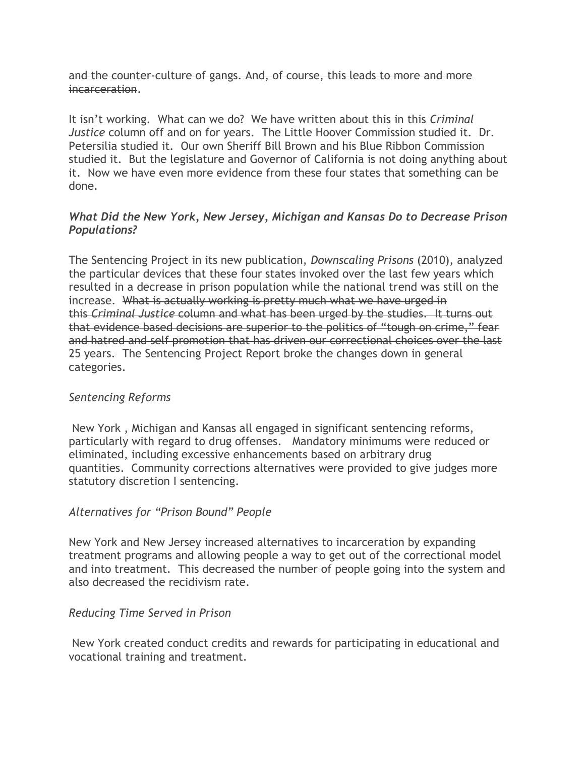and the counter-culture of gangs. And, of course, this leads to more and more incarceration.

It isn't working. What can we do? We have written about this in this *Criminal Justice* column off and on for years. The Little Hoover Commission studied it. Dr. Petersilia studied it. Our own Sheriff Bill Brown and his Blue Ribbon Commission studied it. But the legislature and Governor of California is not doing anything about it. Now we have even more evidence from these four states that something can be done.

## *What Did the New York, New Jersey, Michigan and Kansas Do to Decrease Prison Populations?*

The Sentencing Project in its new publication, *Downscaling Prisons* (2010), analyzed the particular devices that these four states invoked over the last few years which resulted in a decrease in prison population while the national trend was still on the increase. What is actually working is pretty much what we have urged in this *Criminal Justice* column and what has been urged by the studies. It turns out that evidence based decisions are superior to the politics of "tough on crime," fear and hatred and self promotion that has driven our correctional choices over the last 25 years. The Sentencing Project Report broke the changes down in general categories.

#### *Sentencing Reforms*

New York , Michigan and Kansas all engaged in significant sentencing reforms, particularly with regard to drug offenses. Mandatory minimums were reduced or eliminated, including excessive enhancements based on arbitrary drug quantities. Community corrections alternatives were provided to give judges more statutory discretion I sentencing.

#### *Alternatives for "Prison Bound" People*

New York and New Jersey increased alternatives to incarceration by expanding treatment programs and allowing people a way to get out of the correctional model and into treatment. This decreased the number of people going into the system and also decreased the recidivism rate.

#### *Reducing Time Served in Prison*

New York created conduct credits and rewards for participating in educational and vocational training and treatment.